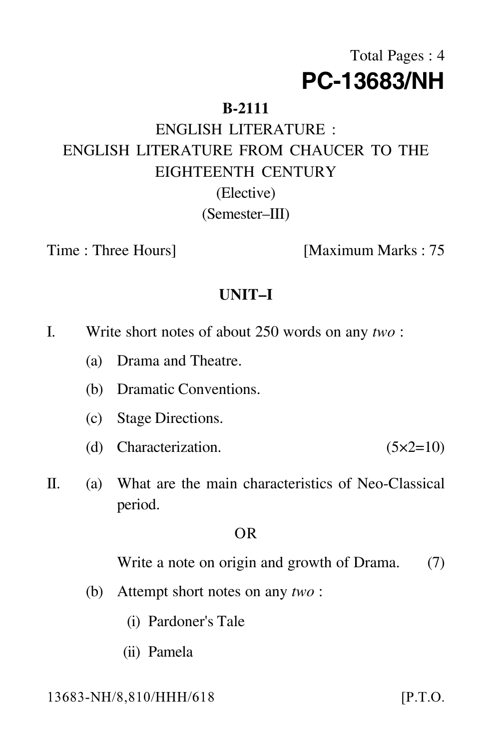# Total Pages : 4 **PC-13683/NH**

## **B-2111**

# ENGLISH LITERATURE : ENGLISH LITERATURE FROM CHAUCER TO THE EIGHTEENTH CENTURY (Elective)

(Semester–III)

Time : Three Hours] [Maximum Marks : 75

# **UNIT–I**

- I. Write short notes of about 250 words on any *two* :
	- (a) Drama and Theatre.
	- (b) Dramatic Conventions.
	- (c) Stage Directions.
	- (d) Characterization.  $(5 \times 2=10)$
- II. (a) What are the main characteristics of Neo-Classical period.

#### OR

Write a note on origin and growth of Drama. (7)

- (b) Attempt short notes on any *two* :
	- (i) Pardoner's Tale
	- (ii) Pamela

13683-NH/8.810/HHH/61

 $[$ P.T.O.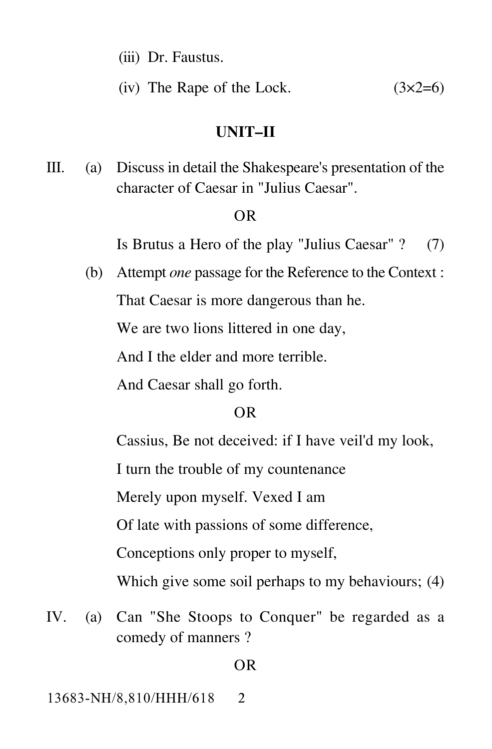- (iii) Dr. Faustus.
- (iv) The Rape of the Lock.  $(3x2=6)$

#### **UNIT–II**

III. (a) Discuss in detail the Shakespeare's presentation of the character of Caesar in "Julius Caesar".

#### OR

Is Brutus a Hero of the play "Julius Caesar" ? (7)

(b) Attempt *one* passage for the Reference to the Context : That Caesar is more dangerous than he. We are two lions littered in one day,

And I the elder and more terrible.

And Caesar shall go forth.

### OR

Cassius, Be not deceived: if I have veil'd my look,

I turn the trouble of my countenance

Merely upon myself. Vexed I am

Of late with passions of some difference,

Conceptions only proper to myself,

Which give some soil perhaps to my behaviours; (4)

IV. (a) Can "She Stoops to Conquer" be regarded as a comedy of manners ?

#### OR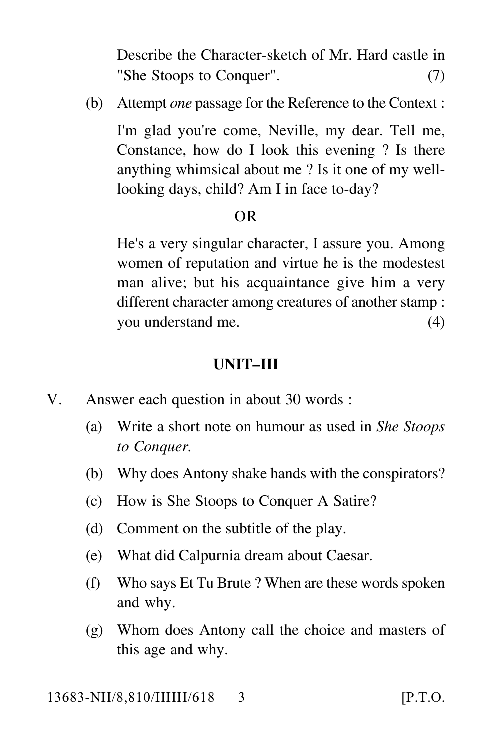Describe the Character-sketch of Mr. Hard castle in "She Stoops to Conquer". (7)

(b) Attempt *one* passage for the Reference to the Context :

I'm glad you're come, Neville, my dear. Tell me, Constance, how do I look this evening ? Is there anything whimsical about me ? Is it one of my welllooking days, child? Am I in face to-day?

#### OR

He's a very singular character, I assure you. Among women of reputation and virtue he is the modestest man alive; but his acquaintance give him a very different character among creatures of another stamp : you understand me. (4)

#### **UNIT–III**

- V. Answer each question in about 30 words :
	- (a) Write a short note on humour as used in *She Stoops to Conquer.*
	- (b) Why does Antony shake hands with the conspirators?
	- (c) How is She Stoops to Conquer A Satire?
	- (d) Comment on the subtitle of the play.
	- (e) What did Calpurnia dream about Caesar.
	- (f) Who says Et Tu Brute ? When are these words spoken and why.
	- (g) Whom does Antony call the choice and masters of this age and why.